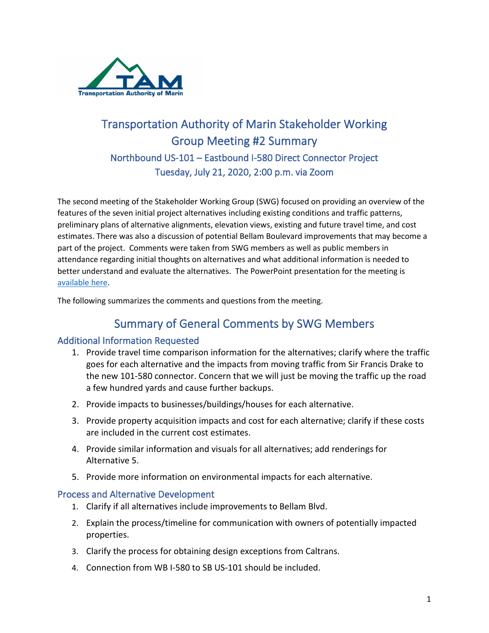

# Transportation Authority of Marin Stakeholder Working Group Meeting #2 Summary Northbound US-101 – Eastbound I-580 Direct Connector Project Tuesday, July 21, 2020, 2:00 p.m. via Zoom

The second meeting of the Stakeholder Working Group (SWG) focused on providing an overview of the features of the seven initial project alternatives including existing conditions and traffic patterns, preliminary plans of alternative alignments, elevation views, existing and future travel time, and cost estimates. There was also a discussion of potential Bellam Boulevard improvements that may become a part of the project. Comments were taken from SWG members as well as public members in attendance regarding initial thoughts on alternatives and what additional information is needed to better understand and evaluate the alternatives. The PowerPoint presentation for the meeting is [available here.](https://2b0kd44aw6tb3js4ja3jprp6-wpengine.netdna-ssl.com/wp-content/uploads/2020/07/TAM-101-580-SWG-MTG2-All-Slides-For-Web-Posting.pdf)

The following summarizes the comments and questions from the meeting.

# Summary of General Comments by SWG Members

#### Additional Information Requested

- 1. Provide travel time comparison information for the alternatives; clarify where the traffic goes for each alternative and the impacts from moving traffic from Sir Francis Drake to the new 101-580 connector. Concern that we will just be moving the traffic up the road a few hundred yards and cause further backups.
- 2. Provide impacts to businesses/buildings/houses for each alternative.
- 3. Provide property acquisition impacts and cost for each alternative; clarify if these costs are included in the current cost estimates.
- 4. Provide similar information and visuals for all alternatives; add renderings for Alternative 5.
- 5. Provide more information on environmental impacts for each alternative.

#### Process and Alternative Development

- 1. Clarify if all alternatives include improvements to Bellam Blvd.
- 2. Explain the process/timeline for communication with owners of potentially impacted properties.
- 3. Clarify the process for obtaining design exceptions from Caltrans.
- 4. Connection from WB I-580 to SB US-101 should be included.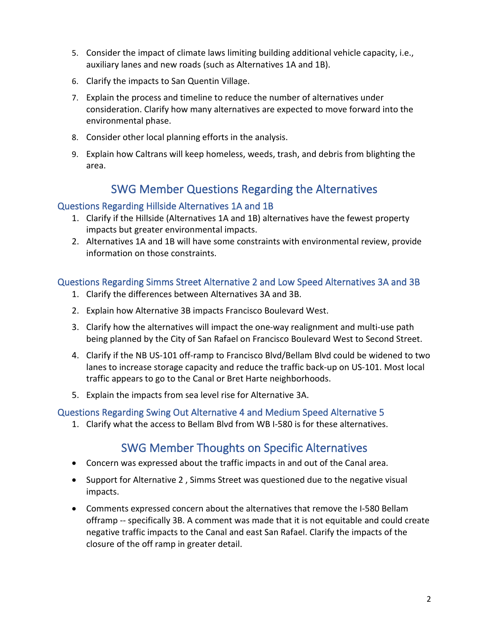- 5. Consider the impact of climate laws limiting building additional vehicle capacity, i.e., auxiliary lanes and new roads (such as Alternatives 1A and 1B).
- 6. Clarify the impacts to San Quentin Village.
- 7. Explain the process and timeline to reduce the number of alternatives under consideration. Clarify how many alternatives are expected to move forward into the environmental phase.
- 8. Consider other local planning efforts in the analysis.
- 9. Explain how Caltrans will keep homeless, weeds, trash, and debris from blighting the area.

# SWG Member Questions Regarding the Alternatives

#### Questions Regarding Hillside Alternatives 1A and 1B

- 1. Clarify if the Hillside (Alternatives 1A and 1B) alternatives have the fewest property impacts but greater environmental impacts.
- 2. Alternatives 1A and 1B will have some constraints with environmental review, provide information on those constraints.

#### Questions Regarding Simms Street Alternative 2 and Low Speed Alternatives 3A and 3B

- 1. Clarify the differences between Alternatives 3A and 3B.
- 2. Explain how Alternative 3B impacts Francisco Boulevard West.
- 3. Clarify how the alternatives will impact the one-way realignment and multi-use path being planned by the City of San Rafael on Francisco Boulevard West to Second Street.
- 4. Clarify if the NB US-101 off-ramp to Francisco Blvd/Bellam Blvd could be widened to two lanes to increase storage capacity and reduce the traffic back-up on US-101. Most local traffic appears to go to the Canal or Bret Harte neighborhoods.
- 5. Explain the impacts from sea level rise for Alternative 3A.

#### Questions Regarding Swing Out Alternative 4 and Medium Speed Alternative 5

1. Clarify what the access to Bellam Blvd from WB I-580 is for these alternatives.

### SWG Member Thoughts on Specific Alternatives

- Concern was expressed about the traffic impacts in and out of the Canal area.
- Support for Alternative 2 , Simms Street was questioned due to the negative visual impacts.
- Comments expressed concern about the alternatives that remove the I-580 Bellam offramp -- specifically 3B. A comment was made that it is not equitable and could create negative traffic impacts to the Canal and east San Rafael. Clarify the impacts of the closure of the off ramp in greater detail.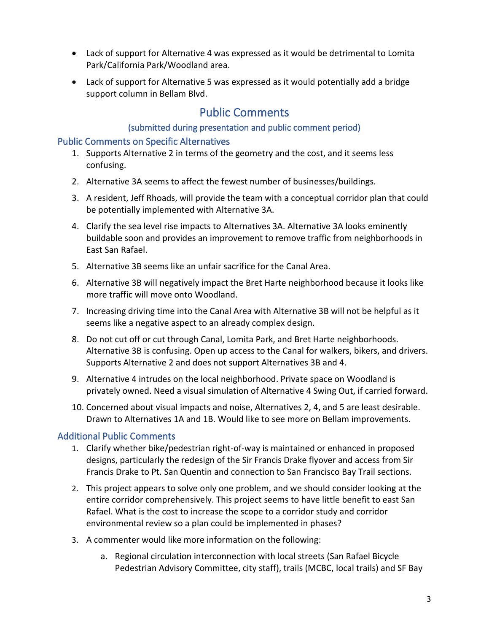- Lack of support for Alternative 4 was expressed as it would be detrimental to Lomita Park/California Park/Woodland area.
- Lack of support for Alternative 5 was expressed as it would potentially add a bridge support column in Bellam Blvd.

# Public Comments

### (submitted during presentation and public comment period)

#### Public Comments on Specific Alternatives

- 1. Supports Alternative 2 in terms of the geometry and the cost, and it seems less confusing.
- 2. Alternative 3A seems to affect the fewest number of businesses/buildings.
- 3. A resident, Jeff Rhoads, will provide the team with a conceptual corridor plan that could be potentially implemented with Alternative 3A.
- 4. Clarify the sea level rise impacts to Alternatives 3A. Alternative 3A looks eminently buildable soon and provides an improvement to remove traffic from neighborhoods in East San Rafael.
- 5. Alternative 3B seems like an unfair sacrifice for the Canal Area.
- 6. Alternative 3B will negatively impact the Bret Harte neighborhood because it looks like more traffic will move onto Woodland.
- 7. Increasing driving time into the Canal Area with Alternative 3B will not be helpful as it seems like a negative aspect to an already complex design.
- 8. Do not cut off or cut through Canal, Lomita Park, and Bret Harte neighborhoods. Alternative 3B is confusing. Open up access to the Canal for walkers, bikers, and drivers. Supports Alternative 2 and does not support Alternatives 3B and 4.
- 9. Alternative 4 intrudes on the local neighborhood. Private space on Woodland is privately owned. Need a visual simulation of Alternative 4 Swing Out, if carried forward.
- 10. Concerned about visual impacts and noise, Alternatives 2, 4, and 5 are least desirable. Drawn to Alternatives 1A and 1B. Would like to see more on Bellam improvements.

### Additional Public Comments

- 1. Clarify whether bike/pedestrian right-of-way is maintained or enhanced in proposed designs, particularly the redesign of the Sir Francis Drake flyover and access from Sir Francis Drake to Pt. San Quentin and connection to San Francisco Bay Trail sections.
- 2. This project appears to solve only one problem, and we should consider looking at the entire corridor comprehensively. This project seems to have little benefit to east San Rafael. What is the cost to increase the scope to a corridor study and corridor environmental review so a plan could be implemented in phases?
- 3. A commenter would like more information on the following:
	- a. Regional circulation interconnection with local streets (San Rafael Bicycle Pedestrian Advisory Committee, city staff), trails (MCBC, local trails) and SF Bay